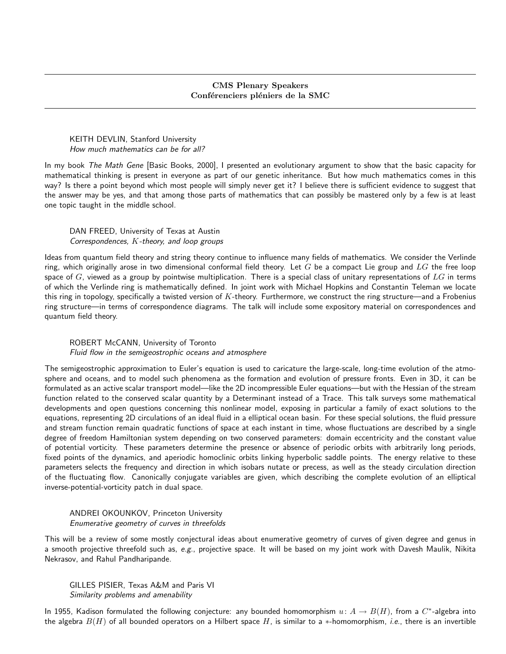## CMS Plenary Speakers Conférenciers pléniers de la SMC

KEITH DEVLIN, Stanford University How much mathematics can be for all?

In my book The Math Gene [Basic Books, 2000], I presented an evolutionary argument to show that the basic capacity for mathematical thinking is present in everyone as part of our genetic inheritance. But how much mathematics comes in this way? Is there a point beyond which most people will simply never get it? I believe there is sufficient evidence to suggest that the answer may be yes, and that among those parts of mathematics that can possibly be mastered only by a few is at least one topic taught in the middle school.

DAN FREED, University of Texas at Austin Correspondences, K-theory, and loop groups

Ideas from quantum field theory and string theory continue to influence many fields of mathematics. We consider the Verlinde ring, which originally arose in two dimensional conformal field theory. Let  $G$  be a compact Lie group and  $LG$  the free loop space of  $G$ , viewed as a group by pointwise multiplication. There is a special class of unitary representations of  $LG$  in terms of which the Verlinde ring is mathematically defined. In joint work with Michael Hopkins and Constantin Teleman we locate this ring in topology, specifically a twisted version of  $K$ -theory. Furthermore, we construct the ring structure—and a Frobenius ring structure—in terms of correspondence diagrams. The talk will include some expository material on correspondences and quantum field theory.

## ROBERT McCANN, University of Toronto Fluid flow in the semigeostrophic oceans and atmosphere

The semigeostrophic approximation to Euler's equation is used to caricature the large-scale, long-time evolution of the atmosphere and oceans, and to model such phenomena as the formation and evolution of pressure fronts. Even in 3D, it can be formulated as an active scalar transport model—like the 2D incompressible Euler equations—but with the Hessian of the stream function related to the conserved scalar quantity by a Determinant instead of a Trace. This talk surveys some mathematical developments and open questions concerning this nonlinear model, exposing in particular a family of exact solutions to the equations, representing 2D circulations of an ideal fluid in a elliptical ocean basin. For these special solutions, the fluid pressure and stream function remain quadratic functions of space at each instant in time, whose fluctuations are described by a single degree of freedom Hamiltonian system depending on two conserved parameters: domain eccentricity and the constant value of potential vorticity. These parameters determine the presence or absence of periodic orbits with arbitrarily long periods, fixed points of the dynamics, and aperiodic homoclinic orbits linking hyperbolic saddle points. The energy relative to these parameters selects the frequency and direction in which isobars nutate or precess, as well as the steady circulation direction of the fluctuating flow. Canonically conjugate variables are given, which describing the complete evolution of an elliptical inverse-potential-vorticity patch in dual space.

ANDREI OKOUNKOV, Princeton University Enumerative geometry of curves in threefolds

This will be a review of some mostly conjectural ideas about enumerative geometry of curves of given degree and genus in a smooth projective threefold such as,  $e.g.$ , projective space. It will be based on my joint work with Davesh Maulik, Nikita Nekrasov, and Rahul Pandharipande.

GILLES PISIER, Texas A&M and Paris VI Similarity problems and amenability

In 1955, Kadison formulated the following conjecture: any bounded homomorphism  $u\colon A\to B(H)$ , from a  $C^*$ -algebra into the algebra  $B(H)$  of all bounded operators on a Hilbert space H, is similar to a \*-homomorphism, i.e., there is an invertible